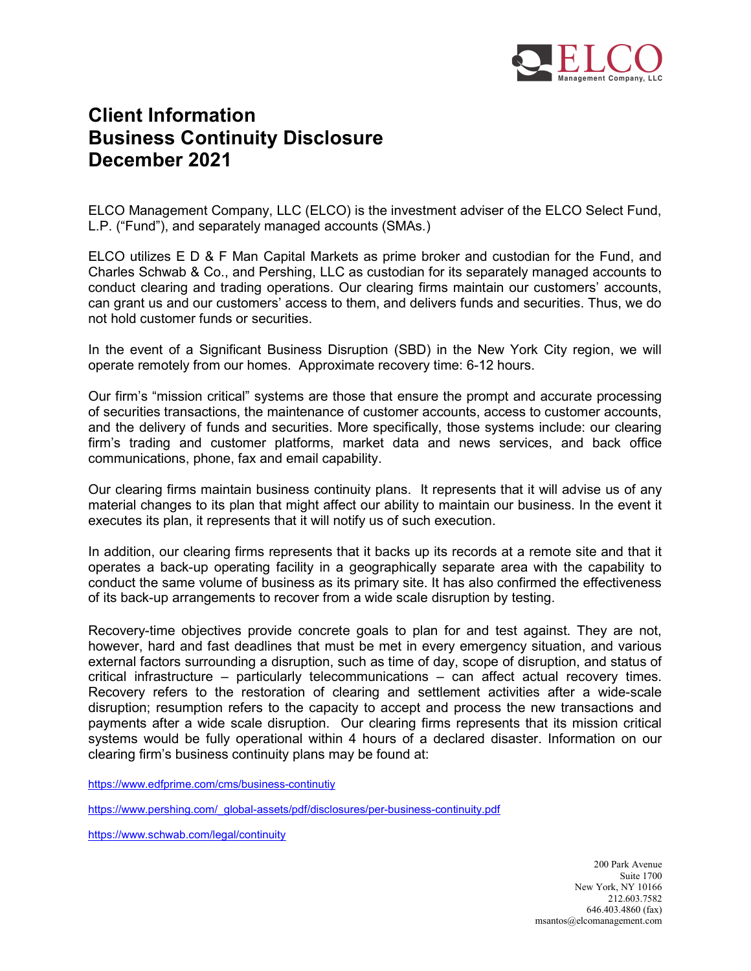

## Client Information Business Continuity Disclosure December 2021

ELCO Management Company, LLC (ELCO) is the investment adviser of the ELCO Select Fund, L.P. ("Fund"), and separately managed accounts (SMAs.)

ELCO utilizes E D & F Man Capital Markets as prime broker and custodian for the Fund, and Charles Schwab & Co., and Pershing, LLC as custodian for its separately managed accounts to conduct clearing and trading operations. Our clearing firms maintain our customers' accounts, can grant us and our customers' access to them, and delivers funds and securities. Thus, we do not hold customer funds or securities.

In the event of a Significant Business Disruption (SBD) in the New York City region, we will operate remotely from our homes. Approximate recovery time: 6-12 hours.

Our firm's "mission critical" systems are those that ensure the prompt and accurate processing of securities transactions, the maintenance of customer accounts, access to customer accounts, and the delivery of funds and securities. More specifically, those systems include: our clearing firm's trading and customer platforms, market data and news services, and back office communications, phone, fax and email capability.

Our clearing firms maintain business continuity plans. It represents that it will advise us of any material changes to its plan that might affect our ability to maintain our business. In the event it executes its plan, it represents that it will notify us of such execution.

In addition, our clearing firms represents that it backs up its records at a remote site and that it operates a back-up operating facility in a geographically separate area with the capability to conduct the same volume of business as its primary site. It has also confirmed the effectiveness of its back-up arrangements to recover from a wide scale disruption by testing.

Recovery-time objectives provide concrete goals to plan for and test against. They are not, however, hard and fast deadlines that must be met in every emergency situation, and various external factors surrounding a disruption, such as time of day, scope of disruption, and status of critical infrastructure – particularly telecommunications – can affect actual recovery times. Recovery refers to the restoration of clearing and settlement activities after a wide-scale disruption; resumption refers to the capacity to accept and process the new transactions and payments after a wide scale disruption. Our clearing firms represents that its mission critical systems would be fully operational within 4 hours of a declared disaster. Information on our clearing firm's business continuity plans may be found at:

https://www.edfprime.com/cms/business-continutiy

https://www.pershing.com/\_global-assets/pdf/disclosures/per-business-continuity.pdf

https://www.schwab.com/legal/continuity